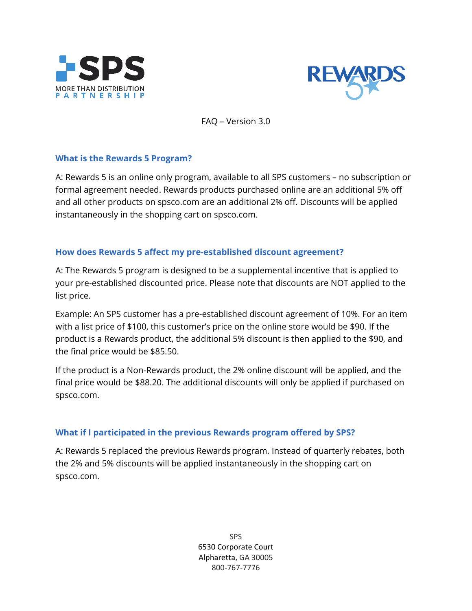



FAQ – Version 3.0

### **What is the Rewards 5 Program?**

A: Rewards 5 is an online only program, available to all SPS customers – no subscription or formal agreement needed. Rewards products purchased online are an additional 5% off and all other products on spsco.com are an additional 2% off. Discounts will be applied instantaneously in the shopping cart on spsco.com.

#### **How does Rewards 5 affect my pre-established discount agreement?**

A: The Rewards 5 program is designed to be a supplemental incentive that is applied to your pre-established discounted price. Please note that discounts are NOT applied to the list price.

Example: An SPS customer has a pre-established discount agreement of 10%. For an item with a list price of \$100, this customer's price on the online store would be \$90. If the product is a Rewards product, the additional 5% discount is then applied to the \$90, and the final price would be \$85.50.

If the product is a Non-Rewards product, the 2% online discount will be applied, and the final price would be \$88.20. The additional discounts will only be applied if purchased on spsco.com.

### **What if I participated in the previous Rewards program offered by SPS?**

A: Rewards 5 replaced the previous Rewards program. Instead of quarterly rebates, both the 2% and 5% discounts will be applied instantaneously in the shopping cart on spsco.com.

> SPS 6530 Corporate Court Alpharetta, GA 30005 800-767-7776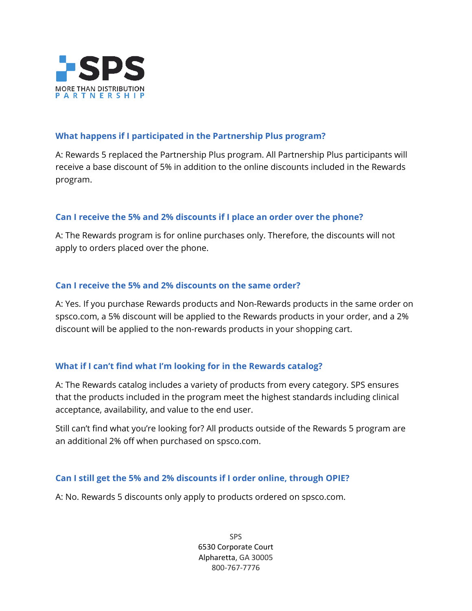

## **What happens if I participated in the Partnership Plus program?**

A: Rewards 5 replaced the Partnership Plus program. All Partnership Plus participants will receive a base discount of 5% in addition to the online discounts included in the Rewards program.

### **Can I receive the 5% and 2% discounts if I place an order over the phone?**

A: The Rewards program is for online purchases only. Therefore, the discounts will not apply to orders placed over the phone.

### **Can I receive the 5% and 2% discounts on the same order?**

A: Yes. If you purchase Rewards products and Non-Rewards products in the same order on spsco.com, a 5% discount will be applied to the Rewards products in your order, and a 2% discount will be applied to the non-rewards products in your shopping cart.

### **What if I can't find what I'm looking for in the Rewards catalog?**

A: The Rewards catalog includes a variety of products from every category. SPS ensures that the products included in the program meet the highest standards including clinical acceptance, availability, and value to the end user.

Still can't find what you're looking for? All products outside of the Rewards 5 program are an additional 2% off when purchased on spsco.com.

### **Can I still get the 5% and 2% discounts if I order online, through OPIE?**

A: No. Rewards 5 discounts only apply to products ordered on spsco.com.

SPS 6530 Corporate Court Alpharetta, GA 30005 800-767-7776